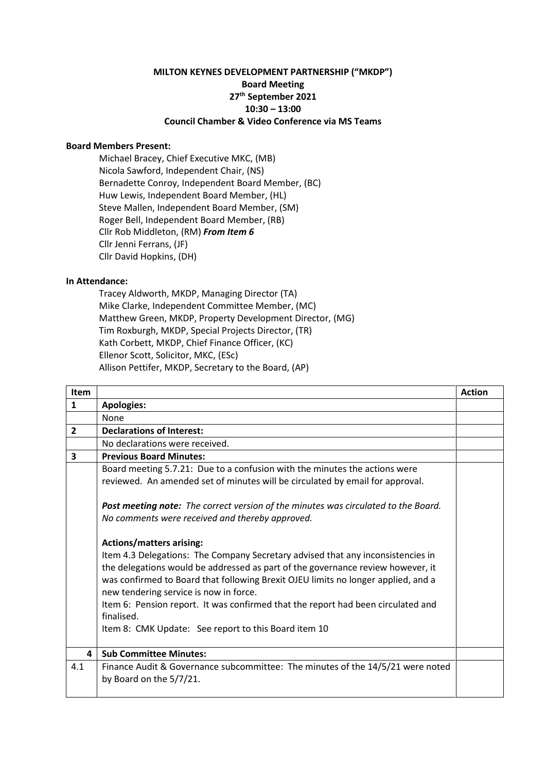## **MILTON KEYNES DEVELOPMENT PARTNERSHIP ("MKDP") Board Meeting 27th September 2021 10:30 – 13:00 Council Chamber & Video Conference via MS Teams**

## **Board Members Present:**

Michael Bracey, Chief Executive MKC, (MB) Nicola Sawford, Independent Chair, (NS) Bernadette Conroy, Independent Board Member, (BC) Huw Lewis, Independent Board Member, (HL) Steve Mallen, Independent Board Member, (SM) Roger Bell, Independent Board Member, (RB) Cllr Rob Middleton, (RM) *From Item 6* Cllr Jenni Ferrans, (JF) Cllr David Hopkins, (DH)

## **In Attendance:**

Tracey Aldworth, MKDP, Managing Director (TA) Mike Clarke, Independent Committee Member, (MC) Matthew Green, MKDP, Property Development Director, (MG) Tim Roxburgh, MKDP, Special Projects Director, (TR) Kath Corbett, MKDP, Chief Finance Officer, (KC) Ellenor Scott, Solicitor, MKC, (ESc) Allison Pettifer, MKDP, Secretary to the Board, (AP)

| <b>Item</b>    |                                                                                                                                                                                                                                                                                                                                                                                                                                                                                                | <b>Action</b> |
|----------------|------------------------------------------------------------------------------------------------------------------------------------------------------------------------------------------------------------------------------------------------------------------------------------------------------------------------------------------------------------------------------------------------------------------------------------------------------------------------------------------------|---------------|
| $\mathbf{1}$   | <b>Apologies:</b>                                                                                                                                                                                                                                                                                                                                                                                                                                                                              |               |
|                | None                                                                                                                                                                                                                                                                                                                                                                                                                                                                                           |               |
| $\overline{2}$ | <b>Declarations of Interest:</b>                                                                                                                                                                                                                                                                                                                                                                                                                                                               |               |
|                | No declarations were received.                                                                                                                                                                                                                                                                                                                                                                                                                                                                 |               |
| 3              | <b>Previous Board Minutes:</b>                                                                                                                                                                                                                                                                                                                                                                                                                                                                 |               |
|                | Board meeting 5.7.21: Due to a confusion with the minutes the actions were<br>reviewed. An amended set of minutes will be circulated by email for approval.                                                                                                                                                                                                                                                                                                                                    |               |
|                | Post meeting note: The correct version of the minutes was circulated to the Board.<br>No comments were received and thereby approved.                                                                                                                                                                                                                                                                                                                                                          |               |
|                | <b>Actions/matters arising:</b><br>Item 4.3 Delegations: The Company Secretary advised that any inconsistencies in<br>the delegations would be addressed as part of the governance review however, it<br>was confirmed to Board that following Brexit OJEU limits no longer applied, and a<br>new tendering service is now in force.<br>Item 6: Pension report. It was confirmed that the report had been circulated and<br>finalised.<br>Item 8: CMK Update: See report to this Board item 10 |               |
| 4              | <b>Sub Committee Minutes:</b>                                                                                                                                                                                                                                                                                                                                                                                                                                                                  |               |
| 4.1            | Finance Audit & Governance subcommittee: The minutes of the 14/5/21 were noted<br>by Board on the 5/7/21.                                                                                                                                                                                                                                                                                                                                                                                      |               |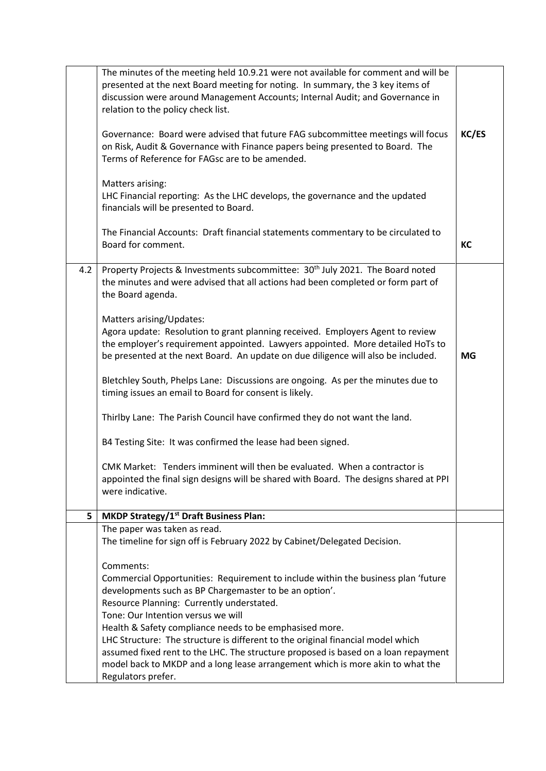|     | The minutes of the meeting held 10.9.21 were not available for comment and will be<br>presented at the next Board meeting for noting. In summary, the 3 key items of<br>discussion were around Management Accounts; Internal Audit; and Governance in<br>relation to the policy check list.<br>Governance: Board were advised that future FAG subcommittee meetings will focus<br>on Risk, Audit & Governance with Finance papers being presented to Board. The<br>Terms of Reference for FAGsc are to be amended.<br>Matters arising:<br>LHC Financial reporting: As the LHC develops, the governance and the updated<br>financials will be presented to Board.<br>The Financial Accounts: Draft financial statements commentary to be circulated to<br>Board for comment. | KC/ES<br>KC |
|-----|-----------------------------------------------------------------------------------------------------------------------------------------------------------------------------------------------------------------------------------------------------------------------------------------------------------------------------------------------------------------------------------------------------------------------------------------------------------------------------------------------------------------------------------------------------------------------------------------------------------------------------------------------------------------------------------------------------------------------------------------------------------------------------|-------------|
| 4.2 | Property Projects & Investments subcommittee: 30 <sup>th</sup> July 2021. The Board noted                                                                                                                                                                                                                                                                                                                                                                                                                                                                                                                                                                                                                                                                                   |             |
|     | the minutes and were advised that all actions had been completed or form part of<br>the Board agenda.                                                                                                                                                                                                                                                                                                                                                                                                                                                                                                                                                                                                                                                                       |             |
|     | Matters arising/Updates:                                                                                                                                                                                                                                                                                                                                                                                                                                                                                                                                                                                                                                                                                                                                                    |             |
|     | Agora update: Resolution to grant planning received. Employers Agent to review<br>the employer's requirement appointed. Lawyers appointed. More detailed HoTs to                                                                                                                                                                                                                                                                                                                                                                                                                                                                                                                                                                                                            |             |
|     | be presented at the next Board. An update on due diligence will also be included.                                                                                                                                                                                                                                                                                                                                                                                                                                                                                                                                                                                                                                                                                           | <b>MG</b>   |
|     | Bletchley South, Phelps Lane: Discussions are ongoing. As per the minutes due to<br>timing issues an email to Board for consent is likely.                                                                                                                                                                                                                                                                                                                                                                                                                                                                                                                                                                                                                                  |             |
|     | Thirlby Lane: The Parish Council have confirmed they do not want the land.                                                                                                                                                                                                                                                                                                                                                                                                                                                                                                                                                                                                                                                                                                  |             |
|     | B4 Testing Site: It was confirmed the lease had been signed.                                                                                                                                                                                                                                                                                                                                                                                                                                                                                                                                                                                                                                                                                                                |             |
|     | CMK Market: Tenders imminent will then be evaluated. When a contractor is<br>appointed the final sign designs will be shared with Board. The designs shared at PPI<br>were indicative.                                                                                                                                                                                                                                                                                                                                                                                                                                                                                                                                                                                      |             |
| 5   | <b>MKDP Strategy/1st Draft Business Plan:</b>                                                                                                                                                                                                                                                                                                                                                                                                                                                                                                                                                                                                                                                                                                                               |             |
|     | The paper was taken as read.<br>The timeline for sign off is February 2022 by Cabinet/Delegated Decision.                                                                                                                                                                                                                                                                                                                                                                                                                                                                                                                                                                                                                                                                   |             |
|     | Comments:                                                                                                                                                                                                                                                                                                                                                                                                                                                                                                                                                                                                                                                                                                                                                                   |             |
|     | Commercial Opportunities: Requirement to include within the business plan 'future<br>developments such as BP Chargemaster to be an option'.                                                                                                                                                                                                                                                                                                                                                                                                                                                                                                                                                                                                                                 |             |
|     | Resource Planning: Currently understated.                                                                                                                                                                                                                                                                                                                                                                                                                                                                                                                                                                                                                                                                                                                                   |             |
|     | Tone: Our Intention versus we will<br>Health & Safety compliance needs to be emphasised more.                                                                                                                                                                                                                                                                                                                                                                                                                                                                                                                                                                                                                                                                               |             |
|     | LHC Structure: The structure is different to the original financial model which                                                                                                                                                                                                                                                                                                                                                                                                                                                                                                                                                                                                                                                                                             |             |
|     | assumed fixed rent to the LHC. The structure proposed is based on a loan repayment<br>model back to MKDP and a long lease arrangement which is more akin to what the                                                                                                                                                                                                                                                                                                                                                                                                                                                                                                                                                                                                        |             |
|     | Regulators prefer.                                                                                                                                                                                                                                                                                                                                                                                                                                                                                                                                                                                                                                                                                                                                                          |             |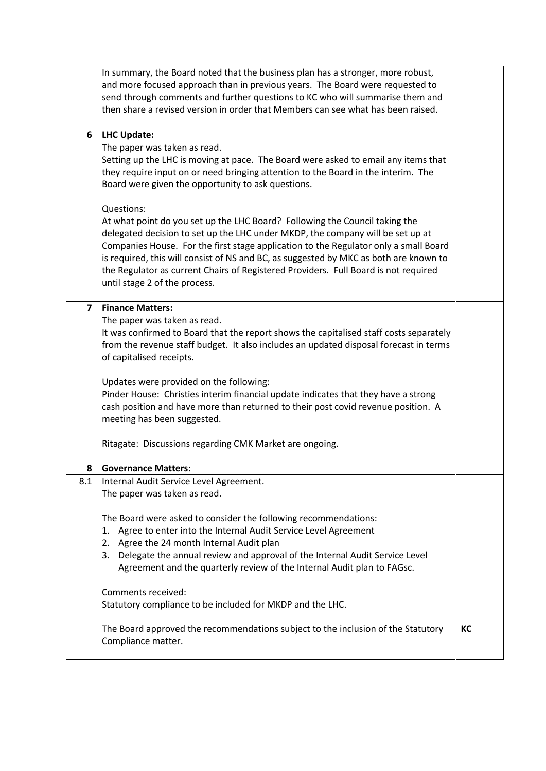|                | In summary, the Board noted that the business plan has a stronger, more robust,                                                         |    |
|----------------|-----------------------------------------------------------------------------------------------------------------------------------------|----|
|                | and more focused approach than in previous years. The Board were requested to                                                           |    |
|                | send through comments and further questions to KC who will summarise them and                                                           |    |
|                | then share a revised version in order that Members can see what has been raised.                                                        |    |
|                |                                                                                                                                         |    |
| 6              | <b>LHC Update:</b>                                                                                                                      |    |
|                | The paper was taken as read.                                                                                                            |    |
|                | Setting up the LHC is moving at pace. The Board were asked to email any items that                                                      |    |
|                | they require input on or need bringing attention to the Board in the interim. The<br>Board were given the opportunity to ask questions. |    |
|                |                                                                                                                                         |    |
|                | Questions:                                                                                                                              |    |
|                | At what point do you set up the LHC Board? Following the Council taking the                                                             |    |
|                | delegated decision to set up the LHC under MKDP, the company will be set up at                                                          |    |
|                | Companies House. For the first stage application to the Regulator only a small Board                                                    |    |
|                | is required, this will consist of NS and BC, as suggested by MKC as both are known to                                                   |    |
|                | the Regulator as current Chairs of Registered Providers. Full Board is not required                                                     |    |
|                | until stage 2 of the process.                                                                                                           |    |
|                |                                                                                                                                         |    |
| $\overline{7}$ | <b>Finance Matters:</b>                                                                                                                 |    |
|                | The paper was taken as read.<br>It was confirmed to Board that the report shows the capitalised staff costs separately                  |    |
|                | from the revenue staff budget. It also includes an updated disposal forecast in terms                                                   |    |
|                | of capitalised receipts.                                                                                                                |    |
|                |                                                                                                                                         |    |
|                | Updates were provided on the following:                                                                                                 |    |
|                | Pinder House: Christies interim financial update indicates that they have a strong                                                      |    |
|                | cash position and have more than returned to their post covid revenue position. A                                                       |    |
|                | meeting has been suggested.                                                                                                             |    |
|                |                                                                                                                                         |    |
|                | Ritagate: Discussions regarding CMK Market are ongoing.                                                                                 |    |
| 8              | <b>Governance Matters:</b>                                                                                                              |    |
| 8.1            | Internal Audit Service Level Agreement.                                                                                                 |    |
|                | The paper was taken as read.                                                                                                            |    |
|                |                                                                                                                                         |    |
|                | The Board were asked to consider the following recommendations:                                                                         |    |
|                | Agree to enter into the Internal Audit Service Level Agreement<br>1.                                                                    |    |
|                | Agree the 24 month Internal Audit plan<br>2.                                                                                            |    |
|                | 3. Delegate the annual review and approval of the Internal Audit Service Level                                                          |    |
|                | Agreement and the quarterly review of the Internal Audit plan to FAGsc.                                                                 |    |
|                | Comments received:                                                                                                                      |    |
|                |                                                                                                                                         |    |
|                | Statutory compliance to be included for MKDP and the LHC.                                                                               |    |
|                | The Board approved the recommendations subject to the inclusion of the Statutory                                                        | КC |
|                | Compliance matter.                                                                                                                      |    |
|                |                                                                                                                                         |    |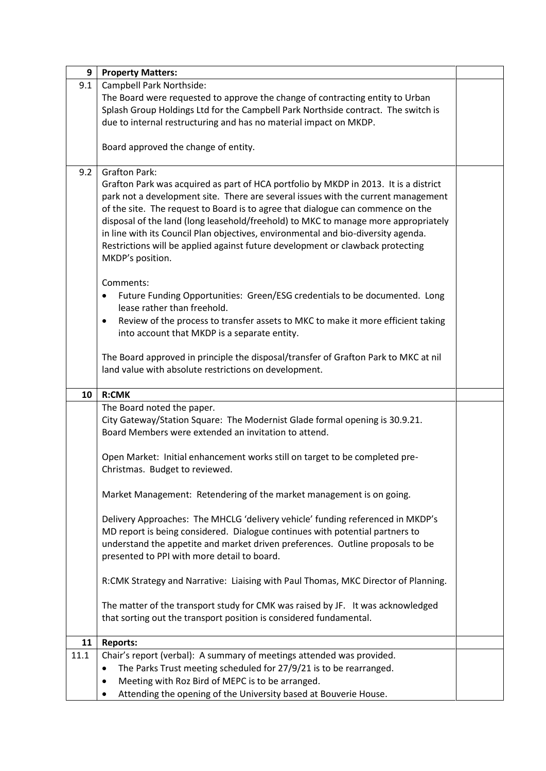| 9    | <b>Property Matters:</b>                                                                                             |  |
|------|----------------------------------------------------------------------------------------------------------------------|--|
| 9.1  | Campbell Park Northside:                                                                                             |  |
|      | The Board were requested to approve the change of contracting entity to Urban                                        |  |
|      | Splash Group Holdings Ltd for the Campbell Park Northside contract. The switch is                                    |  |
|      | due to internal restructuring and has no material impact on MKDP.                                                    |  |
|      | Board approved the change of entity.                                                                                 |  |
|      |                                                                                                                      |  |
| 9.2  | <b>Grafton Park:</b>                                                                                                 |  |
|      | Grafton Park was acquired as part of HCA portfolio by MKDP in 2013. It is a district                                 |  |
|      | park not a development site. There are several issues with the current management                                    |  |
|      | of the site. The request to Board is to agree that dialogue can commence on the                                      |  |
|      | disposal of the land (long leasehold/freehold) to MKC to manage more appropriately                                   |  |
|      | in line with its Council Plan objectives, environmental and bio-diversity agenda.                                    |  |
|      | Restrictions will be applied against future development or clawback protecting                                       |  |
|      | MKDP's position.                                                                                                     |  |
|      | Comments:                                                                                                            |  |
|      | Future Funding Opportunities: Green/ESG credentials to be documented. Long<br>$\bullet$                              |  |
|      | lease rather than freehold.                                                                                          |  |
|      | Review of the process to transfer assets to MKC to make it more efficient taking<br>$\bullet$                        |  |
|      | into account that MKDP is a separate entity.                                                                         |  |
|      |                                                                                                                      |  |
|      | The Board approved in principle the disposal/transfer of Grafton Park to MKC at nil                                  |  |
|      | land value with absolute restrictions on development.                                                                |  |
|      |                                                                                                                      |  |
|      |                                                                                                                      |  |
| 10   | <b>R:CMK</b>                                                                                                         |  |
|      | The Board noted the paper.                                                                                           |  |
|      | City Gateway/Station Square: The Modernist Glade formal opening is 30.9.21.                                          |  |
|      | Board Members were extended an invitation to attend.                                                                 |  |
|      | Open Market: Initial enhancement works still on target to be completed pre-                                          |  |
|      | Christmas. Budget to reviewed.                                                                                       |  |
|      |                                                                                                                      |  |
|      | Market Management: Retendering of the market management is on going.                                                 |  |
|      |                                                                                                                      |  |
|      | Delivery Approaches: The MHCLG 'delivery vehicle' funding referenced in MKDP's                                       |  |
|      | MD report is being considered. Dialogue continues with potential partners to                                         |  |
|      | understand the appetite and market driven preferences. Outline proposals to be                                       |  |
|      | presented to PPI with more detail to board.                                                                          |  |
|      | R:CMK Strategy and Narrative: Liaising with Paul Thomas, MKC Director of Planning.                                   |  |
|      |                                                                                                                      |  |
|      | The matter of the transport study for CMK was raised by JF. It was acknowledged                                      |  |
|      | that sorting out the transport position is considered fundamental.                                                   |  |
|      |                                                                                                                      |  |
| 11   | <b>Reports:</b>                                                                                                      |  |
| 11.1 | Chair's report (verbal): A summary of meetings attended was provided.                                                |  |
|      | The Parks Trust meeting scheduled for 27/9/21 is to be rearranged.<br>$\bullet$                                      |  |
|      | Meeting with Roz Bird of MEPC is to be arranged.<br>Attending the opening of the University based at Bouverie House. |  |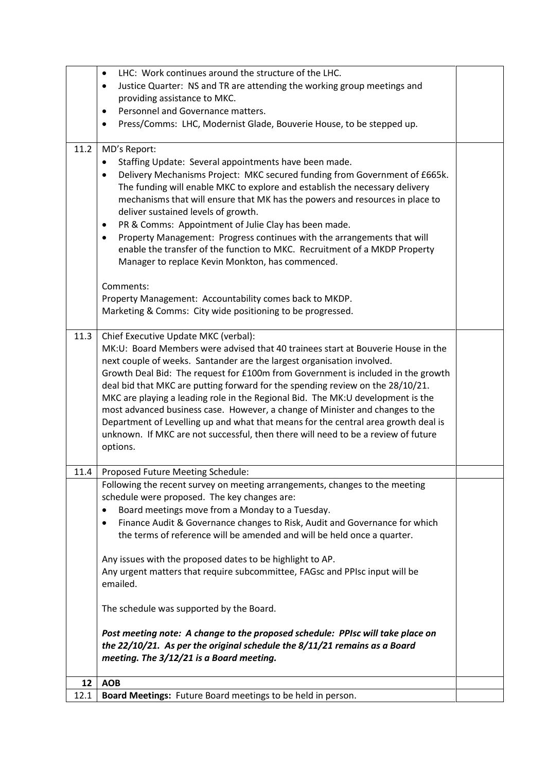|      | LHC: Work continues around the structure of the LHC.<br>$\bullet$<br>Justice Quarter: NS and TR are attending the working group meetings and<br>$\bullet$<br>providing assistance to MKC.<br>Personnel and Governance matters.<br>$\bullet$                                                                                                                                                                                                                                                                                                                                                                                                                                                                                                                                                 |  |
|------|---------------------------------------------------------------------------------------------------------------------------------------------------------------------------------------------------------------------------------------------------------------------------------------------------------------------------------------------------------------------------------------------------------------------------------------------------------------------------------------------------------------------------------------------------------------------------------------------------------------------------------------------------------------------------------------------------------------------------------------------------------------------------------------------|--|
|      | Press/Comms: LHC, Modernist Glade, Bouverie House, to be stepped up.<br>$\bullet$                                                                                                                                                                                                                                                                                                                                                                                                                                                                                                                                                                                                                                                                                                           |  |
| 11.2 | MD's Report:<br>Staffing Update: Several appointments have been made.<br>Delivery Mechanisms Project: MKC secured funding from Government of £665k.<br>٠<br>The funding will enable MKC to explore and establish the necessary delivery<br>mechanisms that will ensure that MK has the powers and resources in place to<br>deliver sustained levels of growth.<br>PR & Comms: Appointment of Julie Clay has been made.<br>٠<br>Property Management: Progress continues with the arrangements that will<br>$\bullet$<br>enable the transfer of the function to MKC. Recruitment of a MKDP Property<br>Manager to replace Kevin Monkton, has commenced.<br>Comments:<br>Property Management: Accountability comes back to MKDP.<br>Marketing & Comms: City wide positioning to be progressed. |  |
|      |                                                                                                                                                                                                                                                                                                                                                                                                                                                                                                                                                                                                                                                                                                                                                                                             |  |
| 11.3 | Chief Executive Update MKC (verbal):<br>MK:U: Board Members were advised that 40 trainees start at Bouverie House in the<br>next couple of weeks. Santander are the largest organisation involved.<br>Growth Deal Bid: The request for £100m from Government is included in the growth<br>deal bid that MKC are putting forward for the spending review on the 28/10/21.<br>MKC are playing a leading role in the Regional Bid. The MK:U development is the<br>most advanced business case. However, a change of Minister and changes to the<br>Department of Levelling up and what that means for the central area growth deal is<br>unknown. If MKC are not successful, then there will need to be a review of future<br>options.                                                         |  |
| 11.4 | Proposed Future Meeting Schedule:                                                                                                                                                                                                                                                                                                                                                                                                                                                                                                                                                                                                                                                                                                                                                           |  |
|      | Following the recent survey on meeting arrangements, changes to the meeting<br>schedule were proposed. The key changes are:<br>Board meetings move from a Monday to a Tuesday.<br>٠<br>Finance Audit & Governance changes to Risk, Audit and Governance for which<br>٠<br>the terms of reference will be amended and will be held once a quarter.<br>Any issues with the proposed dates to be highlight to AP.<br>Any urgent matters that require subcommittee, FAGsc and PPIsc input will be<br>emailed.<br>The schedule was supported by the Board.<br>Post meeting note: A change to the proposed schedule: PPIsc will take place on<br>the $22/10/21$ . As per the original schedule the $8/11/21$ remains as a Board<br>meeting. The 3/12/21 is a Board meeting.                       |  |
| 12   | <b>AOB</b>                                                                                                                                                                                                                                                                                                                                                                                                                                                                                                                                                                                                                                                                                                                                                                                  |  |
| 12.1 | Board Meetings: Future Board meetings to be held in person.                                                                                                                                                                                                                                                                                                                                                                                                                                                                                                                                                                                                                                                                                                                                 |  |